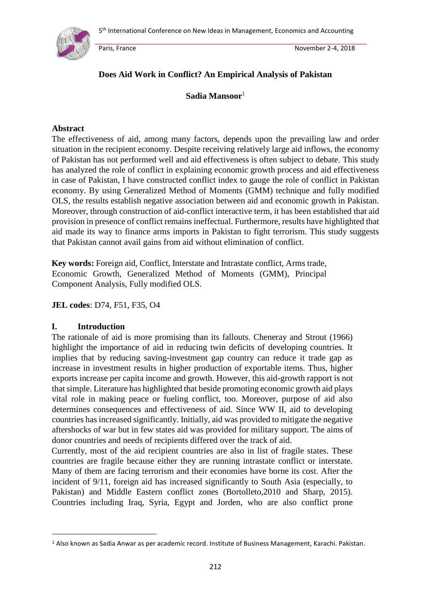

## **Does Aid Work in Conflict? An Empirical Analysis of Pakistan**

## **Sadia Mansoor**<sup>1</sup>

#### **Abstract**

The effectiveness of aid, among many factors, depends upon the prevailing law and order situation in the recipient economy. Despite receiving relatively large aid inflows, the economy of Pakistan has not performed well and aid effectiveness is often subject to debate. This study has analyzed the role of conflict in explaining economic growth process and aid effectiveness in case of Pakistan, I have constructed conflict index to gauge the role of conflict in Pakistan economy. By using Generalized Method of Moments (GMM) technique and fully modified OLS, the results establish negative association between aid and economic growth in Pakistan. Moreover, through construction of aid-conflict interactive term, it has been established that aid provision in presence of conflict remains ineffectual. Furthermore, results have highlighted that aid made its way to finance arms imports in Pakistan to fight terrorism. This study suggests that Pakistan cannot avail gains from aid without elimination of conflict.

**Key words:** Foreign aid, Conflict, Interstate and Intrastate conflict, Arms trade, Economic Growth, Generalized Method of Moments (GMM), Principal Component Analysis, Fully modified OLS.

**JEL codes**: D74, F51, F35, O4

### **I. Introduction**

1

The rationale of aid is more promising than its fallouts. Cheneray and Strout (1966) highlight the importance of aid in reducing twin deficits of developing countries. It implies that by reducing saving-investment gap country can reduce it trade gap as increase in investment results in higher production of exportable items. Thus, higher exports increase per capita income and growth. However, this aid-growth rapport is not that simple. Literature has highlighted that beside promoting economic growth aid plays vital role in making peace or fueling conflict, too. Moreover, purpose of aid also determines consequences and effectiveness of aid. Since WW II, aid to developing countries has increased significantly. Initially, aid was provided to mitigate the negative aftershocks of war but in few states aid was provided for military support. The aims of donor countries and needs of recipients differed over the track of aid.

Currently, most of the aid recipient countries are also in list of fragile states. These countries are fragile because either they are running intrastate conflict or interstate. Many of them are facing terrorism and their economies have borne its cost. After the incident of 9/11, foreign aid has increased significantly to South Asia (especially, to Pakistan) and Middle Eastern conflict zones (Bortolleto,2010 and Sharp, 2015). Countries including Iraq, Syria, Egypt and Jorden, who are also conflict prone

<sup>1</sup> Also known as Sadia Anwar as per academic record. Institute of Business Management, Karachi. Pakistan.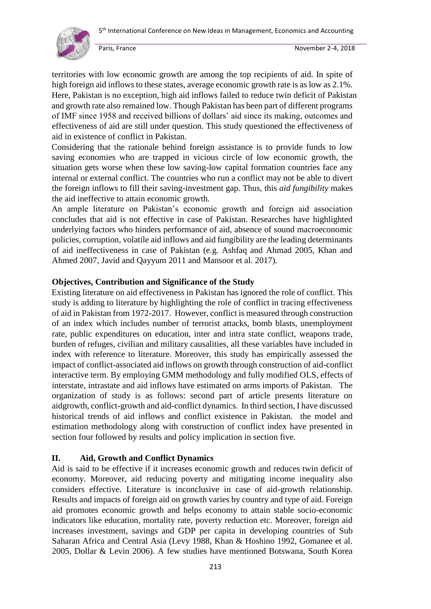

territories with low economic growth are among the top recipients of aid. In spite of high foreign aid inflows to these states, average economic growth rate is as low as 2.1%. Here, Pakistan is no exception, high aid inflows failed to reduce twin deficit of Pakistan and growth rate also remained low. Though Pakistan has been part of different programs of IMF since 1958 and received billions of dollars' aid since its making, outcomes and effectiveness of aid are still under question. This study questioned the effectiveness of aid in existence of conflict in Pakistan.

Considering that the rationale behind foreign assistance is to provide funds to low saving economies who are trapped in vicious circle of low economic growth, the situation gets worse when these low saving-low capital formation countries face any internal or external conflict. The countries who run a conflict may not be able to divert the foreign inflows to fill their saving-investment gap. Thus, this *aid fungibility* makes the aid ineffective to attain economic growth.

An ample literature on Pakistan's economic growth and foreign aid association concludes that aid is not effective in case of Pakistan. Researches have highlighted underlying factors who hinders performance of aid, absence of sound macroeconomic policies, corruption, volatile aid inflows and aid fungibility are the leading determinants of aid ineffectiveness in case of Pakistan (e.g. Ashfaq and Ahmad 2005, Khan and Ahmed 2007, Javid and Qayyum 2011 and Mansoor et al. 2017).

## **Objectives, Contribution and Significance of the Study**

Existing literature on aid effectiveness in Pakistan has ignored the role of conflict. This study is adding to literature by highlighting the role of conflict in tracing effectiveness of aid in Pakistan from 1972-2017. However, conflict is measured through construction of an index which includes number of terrorist attacks, bomb blasts, unemployment rate, public expenditures on education, inter and intra state conflict, weapons trade, burden of refuges, civilian and military causalities, all these variables have included in index with reference to literature. Moreover, this study has empirically assessed the impact of conflict-associated aid inflows on growth through construction of aid-conflict interactive term. By employing GMM methodology and fully modified OLS, effects of interstate, intrastate and aid inflows have estimated on arms imports of Pakistan. The organization of study is as follows: second part of article presents literature on aidgrowth, conflict-growth and aid-conflict dynamics. In third section, I have discussed historical trends of aid inflows and conflict existence in Pakistan. the model and estimation methodology along with construction of conflict index have presented in section four followed by results and policy implication in section five.

## **II. Aid, Growth and Conflict Dynamics**

Aid is said to be effective if it increases economic growth and reduces twin deficit of economy. Moreover, aid reducing poverty and mitigating income inequality also considers effective. Literature is inconclusive in case of aid-growth relationship. Results and impacts of foreign aid on growth varies by country and type of aid. Foreign aid promotes economic growth and helps economy to attain stable socio-economic indicators like education, mortality rate, poverty reduction etc. Moreover, foreign aid increases investment, savings and GDP per capita in developing countries of Sub Saharan Africa and Central Asia (Levy 1988, Khan & Hoshino 1992, Gomanee et al. 2005, Dollar & Levin 2006). A few studies have mentioned Botswana, South Korea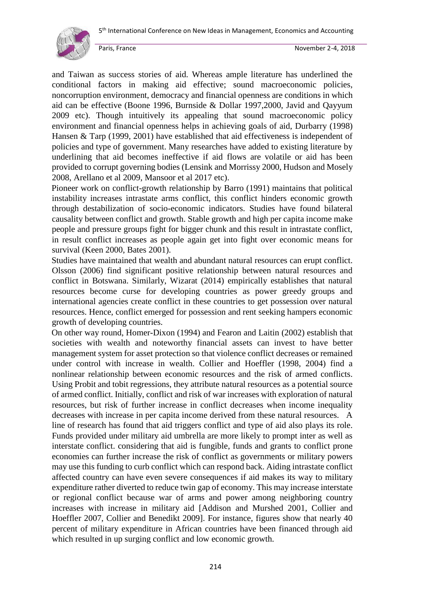

and Taiwan as success stories of aid. Whereas ample literature has underlined the conditional factors in making aid effective; sound macroeconomic policies, noncorruption environment, democracy and financial openness are conditions in which aid can be effective (Boone 1996, Burnside & Dollar 1997,2000, Javid and Qayyum 2009 etc). Though intuitively its appealing that sound macroeconomic policy environment and financial openness helps in achieving goals of aid, Durbarry (1998) Hansen & Tarp (1999, 2001) have established that aid effectiveness is independent of policies and type of government. Many researches have added to existing literature by underlining that aid becomes ineffective if aid flows are volatile or aid has been provided to corrupt governing bodies (Lensink and Morrissy 2000, Hudson and Mosely 2008, Arellano et al 2009, Mansoor et al 2017 etc).

Pioneer work on conflict-growth relationship by Barro (1991) maintains that political instability increases intrastate arms conflict, this conflict hinders economic growth through destabilization of socio-economic indicators. Studies have found bilateral causality between conflict and growth. Stable growth and high per capita income make people and pressure groups fight for bigger chunk and this result in intrastate conflict, in result conflict increases as people again get into fight over economic means for survival (Keen 2000, Bates 2001).

Studies have maintained that wealth and abundant natural resources can erupt conflict. Olsson (2006) find significant positive relationship between natural resources and conflict in Botswana. Similarly, Wizarat (2014) empirically establishes that natural resources become curse for developing countries as power greedy groups and international agencies create conflict in these countries to get possession over natural resources. Hence, conflict emerged for possession and rent seeking hampers economic growth of developing countries.

On other way round, Homer-Dixon (1994) and Fearon and Laitin (2002) establish that societies with wealth and noteworthy financial assets can invest to have better management system for asset protection so that violence conflict decreases or remained under control with increase in wealth. Collier and Hoeffler (1998, 2004) find a nonlinear relationship between economic resources and the risk of armed conflicts. Using Probit and tobit regressions, they attribute natural resources as a potential source of armed conflict. Initially, conflict and risk of war increases with exploration of natural resources, but risk of further increase in conflict decreases when income inequality decreases with increase in per capita income derived from these natural resources. A line of research has found that aid triggers conflict and type of aid also plays its role. Funds provided under military aid umbrella are more likely to prompt inter as well as interstate conflict. considering that aid is fungible, funds and grants to conflict prone economies can further increase the risk of conflict as governments or military powers may use this funding to curb conflict which can respond back. Aiding intrastate conflict affected country can have even severe consequences if aid makes its way to military expenditure rather diverted to reduce twin gap of economy. This may increase interstate or regional conflict because war of arms and power among neighboring country increases with increase in military aid [Addison and Murshed 2001, Collier and Hoeffler 2007, Collier and Benedikt 2009]. For instance, figures show that nearly 40 percent of military expenditure in African countries have been financed through aid which resulted in up surging conflict and low economic growth.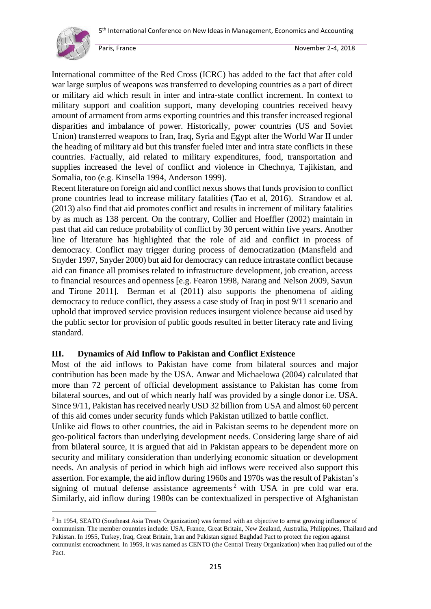

1

International committee of the Red Cross (ICRC) has added to the fact that after cold war large surplus of weapons was transferred to developing countries as a part of direct or military aid which result in inter and intra-state conflict increment. In context to military support and coalition support, many developing countries received heavy amount of armament from arms exporting countries and this transfer increased regional disparities and imbalance of power. Historically, power countries (US and Soviet Union) transferred weapons to Iran, Iraq, Syria and Egypt after the World War II under the heading of military aid but this transfer fueled inter and intra state conflicts in these countries. Factually, aid related to military expenditures, food, transportation and supplies increased the level of conflict and violence in Chechnya, Tajikistan, and Somalia, too (e.g. Kinsella 1994, Anderson 1999).

Recent literature on foreign aid and conflict nexus shows that funds provision to conflict prone countries lead to increase military fatalities (Tao et al, 2016). Strandow et al. (2013) also find that aid promotes conflict and results in increment of military fatalities by as much as 138 percent. On the contrary, Collier and Hoeffler (2002) maintain in past that aid can reduce probability of conflict by 30 percent within five years. Another line of literature has highlighted that the role of aid and conflict in process of democracy. Conflict may trigger during process of democratization (Mansfield and Snyder 1997, Snyder 2000) but aid for democracy can reduce intrastate conflict because aid can finance all promises related to infrastructure development, job creation, access to financial resources and openness [e.g. Fearon 1998, Narang and Nelson 2009, Savun and Tirone 2011]. Berman et al (2011) also supports the phenomena of aiding democracy to reduce conflict, they assess a case study of Iraq in post 9/11 scenario and uphold that improved service provision reduces insurgent violence because aid used by the public sector for provision of public goods resulted in better literacy rate and living standard.

## **III. Dynamics of Aid Inflow to Pakistan and Conflict Existence**

Most of the aid inflows to Pakistan have come from bilateral sources and major contribution has been made by the USA. Anwar and Michaelowa (2004) calculated that more than 72 percent of official development assistance to Pakistan has come from bilateral sources, and out of which nearly half was provided by a single donor i.e. USA. Since 9/11, Pakistan has received nearly USD 32 billion from USA and almost 60 percent of this aid comes under security funds which Pakistan utilized to battle conflict.

Unlike aid flows to other countries, the aid in Pakistan seems to be dependent more on geo-political factors than underlying development needs. Considering large share of aid from bilateral source, it is argued that aid in Pakistan appears to be dependent more on security and military consideration than underlying economic situation or development needs. An analysis of period in which high aid inflows were received also support this assertion. For example, the aid inflow during 1960s and 1970s was the result of Pakistan's signing of mutual defense assistance agreements<sup>2</sup> with USA in pre cold war era. Similarly, aid inflow during 1980s can be contextualized in perspective of Afghanistan

<sup>&</sup>lt;sup>2</sup> In 1954, SEATO (Southeast Asia Treaty Organization) was formed with an objective to arrest growing influence of communism. The member countries include: USA, France, Great Britain, New Zealand, Australia, Philippines, Thailand and Pakistan. In 1955, Turkey, Iraq, Great Britain, Iran and Pakistan signed Baghdad Pact to protect the region against communist encroachment. In 1959, it was named as CENTO (th*e* Central Treaty Organization) when Iraq pulled out of the Pact.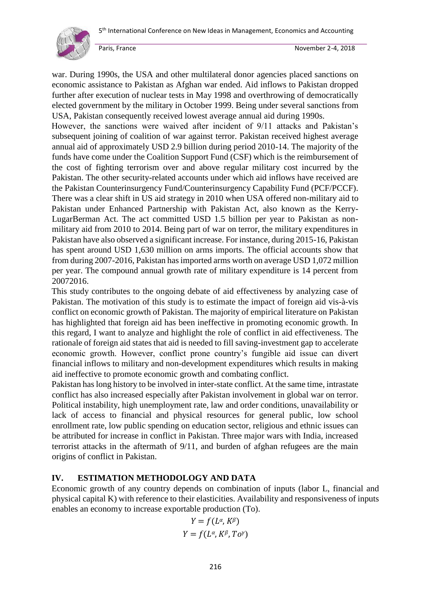

war. During 1990s, the USA and other multilateral donor agencies placed sanctions on economic assistance to Pakistan as Afghan war ended. Aid inflows to Pakistan dropped further after execution of nuclear tests in May 1998 and overthrowing of democratically elected government by the military in October 1999. Being under several sanctions from USA, Pakistan consequently received lowest average annual aid during 1990s.

However, the sanctions were waived after incident of 9/11 attacks and Pakistan's subsequent joining of coalition of war against terror. Pakistan received highest average annual aid of approximately USD 2.9 billion during period 2010-14. The majority of the funds have come under the Coalition Support Fund (CSF) which is the reimbursement of the cost of fighting terrorism over and above regular military cost incurred by the Pakistan. The other security-related accounts under which aid inflows have received are the Pakistan Counterinsurgency Fund/Counterinsurgency Capability Fund (PCF/PCCF). There was a clear shift in US aid strategy in 2010 when USA offered non-military aid to Pakistan under Enhanced Partnership with Pakistan Act, also known as the Kerry-LugarBerman Act. The act committed USD 1.5 billion per year to Pakistan as nonmilitary aid from 2010 to 2014. Being part of war on terror, the military expenditures in Pakistan have also observed a significant increase. For instance, during 2015-16, Pakistan has spent around USD 1,630 million on arms imports. The official accounts show that from during 2007-2016, Pakistan has imported arms worth on average USD 1,072 million per year. The compound annual growth rate of military expenditure is 14 percent from 20072016.

This study contributes to the ongoing debate of aid effectiveness by analyzing case of Pakistan. The motivation of this study is to estimate the impact of foreign aid vis-à-vis conflict on economic growth of Pakistan. The majority of empirical literature on Pakistan has highlighted that foreign aid has been ineffective in promoting economic growth. In this regard, I want to analyze and highlight the role of conflict in aid effectiveness. The rationale of foreign aid states that aid is needed to fill saving-investment gap to accelerate economic growth. However, conflict prone country's fungible aid issue can divert financial inflows to military and non-development expenditures which results in making aid ineffective to promote economic growth and combating conflict.

Pakistan has long history to be involved in inter-state conflict. At the same time, intrastate conflict has also increased especially after Pakistan involvement in global war on terror. Political instability, high unemployment rate, law and order conditions, unavailability or lack of access to financial and physical resources for general public, low school enrollment rate, low public spending on education sector, religious and ethnic issues can be attributed for increase in conflict in Pakistan. Three major wars with India, increased terrorist attacks in the aftermath of 9/11, and burden of afghan refugees are the main origins of conflict in Pakistan.

## **IV. ESTIMATION METHODOLOGY AND DATA**

Economic growth of any country depends on combination of inputs (labor L, financial and physical capital K) with reference to their elasticities. Availability and responsiveness of inputs enables an economy to increase exportable production (To).

$$
Y = f(L^{\alpha}, K^{\beta})
$$
  
 
$$
Y = f(L^{\alpha}, K^{\beta}, T o^{\gamma})
$$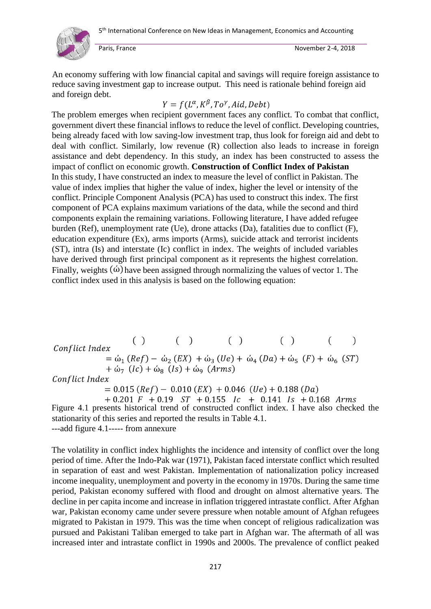

An economy suffering with low financial capital and savings will require foreign assistance to reduce saving investment gap to increase output. This need is rationale behind foreign aid and foreign debt.

# $Y = f(L^{\alpha}, K^{\beta}, To^{\gamma}, Aid, Debt)$

The problem emerges when recipient government faces any conflict. To combat that conflict, government divert these financial inflows to reduce the level of conflict. Developing countries, being already faced with low saving-low investment trap, thus look for foreign aid and debt to deal with conflict. Similarly, low revenue (R) collection also leads to increase in foreign assistance and debt dependency. In this study, an index has been constructed to assess the impact of conflict on economic growth. **Construction of Conflict Index of Pakistan**  In this study, I have constructed an index to measure the level of conflict in Pakistan. The value of index implies that higher the value of index, higher the level or intensity of the conflict. Principle Component Analysis (PCA) has used to construct this index. The first component of PCA explains maximum variations of the data, while the second and third components explain the remaining variations. Following literature, I have added refugee burden (Ref), unemployment rate (Ue), drone attacks (Da), fatalities due to conflict (F), education expenditure (Ex), arms imports (Arms), suicide attack and terrorist incidents (ST), intra (Is) and interstate (Ic) conflict in index. The weights of included variables have derived through first principal component as it represents the highest correlation. Finally, weights  $\phi$  have been assigned through normalizing the values of vector 1. The conflict index used in this analysis is based on the following equation:

 $( )$   $( )$   $( )$  $( )$  $\mathcal{E}$  $\left($ Conflict Index =  $\dot{\omega}_1$  (Ref) –  $\dot{\omega}_2$  (EX) +  $\dot{\omega}_3$  (Ue) +  $\dot{\omega}_4$  (Da) +  $\dot{\omega}_5$  (F) +  $\dot{\omega}_6$  (ST)  $+\omega_7$   $(Ic) + \omega_8$   $(Is) + \omega_9$   $(Arms)$ Conflict Index  $= 0.015 (Ref) - 0.010 (EX) + 0.046 (Ue) + 0.188 (Da)$  $+0.201$  F  $+0.19$  ST  $+0.155$  Ic  $+0.141$  Is  $+0.168$  Arms

Figure 4.1 presents historical trend of constructed conflict index. I have also checked the stationarity of this series and reported the results in Table 4.1. ---add figure 4.1----- from annexure

The volatility in conflict index highlights the incidence and intensity of conflict over the long period of time. After the Indo-Pak war (1971), Pakistan faced interstate conflict which resulted in separation of east and west Pakistan. Implementation of nationalization policy increased income inequality, unemployment and poverty in the economy in 1970s. During the same time period, Pakistan economy suffered with flood and drought on almost alternative years. The decline in per capita income and increase in inflation triggered intrastate conflict. After Afghan war, Pakistan economy came under severe pressure when notable amount of Afghan refugees migrated to Pakistan in 1979. This was the time when concept of religious radicalization was pursued and Pakistani Taliban emerged to take part in Afghan war. The aftermath of all was increased inter and intrastate conflict in 1990s and 2000s. The prevalence of conflict peaked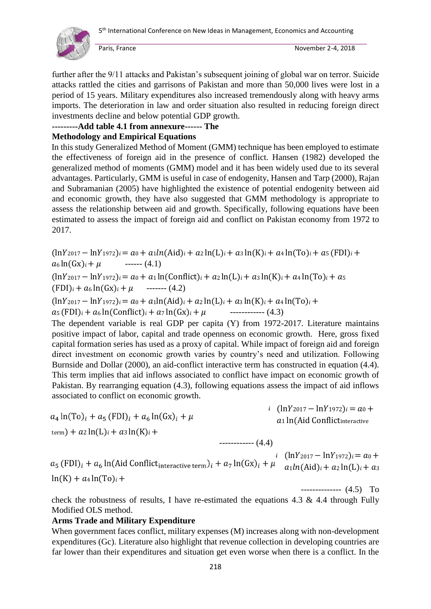

 $\left( \left( \ln V_{0.017} \right) \right)$  =  $\left( \ln V_{1.072} \right)$  = 0.1

-------------- (4.5) To

further after the 9/11 attacks and Pakistan's subsequent joining of global war on terror. Suicide attacks rattled the cities and garrisons of Pakistan and more than 50,000 lives were lost in a period of 15 years. Military expenditures also increased tremendously along with heavy arms imports. The deterioration in law and order situation also resulted in reducing foreign direct investments decline and below potential GDP growth.

### **---------Add table 4.1 from annexure------ The**

## **Methodology and Empirical Equations**

In this study Generalized Method of Moment (GMM) technique has been employed to estimate the effectiveness of foreign aid in the presence of conflict. Hansen (1982) developed the generalized method of moments (GMM) model and it has been widely used due to its several advantages. Particularly, GMM is useful in case of endogenity, Hansen and Tarp (2000), Rajan and Subramanian (2005) have highlighted the existence of potential endogenity between aid and economic growth, they have also suggested that GMM methodology is appropriate to assess the relationship between aid and growth. Specifically, following equations have been estimated to assess the impact of foreign aid and conflict on Pakistan economy from 1972 to 2017.

 $(\ln Y_{2017} - \ln Y_{1972})_i = a_0 + a_1 \ln(\text{Aid})_i + a_2 \ln(\text{L})_i + a_3 \ln(\text{K})_i + a_4 \ln(\text{To})_i + a_5 \text{ (FDI)}_i +$  $a_6 \ln(Gx)_i + \mu$  ------ (4.1)  $(\ln Y_{2017} - \ln Y_{1972})_i = a_0 + a_1 \ln(\text{Conflict})_i + a_2 \ln(L)_i + a_3 \ln(K)_i + a_4 \ln(\text{To})_i + a_5$ 

 $(FDI)_i + a_6 \ln(Gx)_i + \mu$  ------- (4.2)

 $(\ln Y_{2017} - \ln Y_{1972})_i = a_0 + a_1 \ln(\text{Aid})_i + a_2 \ln(\text{L})_i + a_3 \ln(\text{K})_i + a_4 \ln(\text{To})_i +$ 

 $a_5$  (FDI)<sub>i</sub> +  $a_6$  ln(Conflict)<sub>i</sub> +  $a_7$  ln(Gx)<sub>i</sub> +  $\mu$  ------------ (4.3)

The dependent variable is real GDP per capita (Y) from 1972-2017. Literature maintains positive impact of labor, capital and trade openness on economic growth. Here, gross fixed capital formation series has used as a proxy of capital. While impact of foreign aid and foreign direct investment on economic growth varies by country's need and utilization. Following Burnside and Dollar (2000), an aid-conflict interactive term has constructed in equation (4.4). This term implies that aid inflows associated to conflict have impact on economic growth of Pakistan. By rearranging equation (4.3), following equations assess the impact of aid inflows associated to conflict on economic growth.

$$
a_4 \ln(\text{To})_i + a_5 (\text{FDI})_i + a_6 \ln(\text{Gx})_i + \mu
$$
  
\n
$$
a_1 \ln(\text{Aid Conflict} + \text{Corflict} + \text{Corflict} + \text{Corflict} + \text{Corflict} + \text{Corflict} + \text{Corflict} + \text{Corflict} + \text{Corflict} + \text{Corflict} + \text{Corflict} + \text{Corflict} + \text{Corflict} + \text{Corflict} + \text{Corflict} + \text{Corflict} + \text{Corflict} + \text{Corflict} + \text{Corflict} + \text{Corflict} + \text{Corflict} + \text{Corflict} + \text{Corflict} + \text{Corflict} + \text{Corflict} + \text{Corflict} + \text{Corflict} + \text{Corflict} + \text{Corflict} + \text{Corflict} + \text{Corflict} + \text{Corflict} + \text{Corflict} + \text{Corflict} + \text{Corflict} + \text{Corflict} + \text{Corflict} + \text{Corflict} + \text{Corflict} + \text{Corflict} + \text{Corflict} + \text{Corflict} + \text{Corflict} + \text{Corflict} + \text{Corflict} + \text{Corflict} + \text{Corflict} + \text{Corflict} + \text{Corflict} + \text{Corflict} + \text{Corflict} + \text{Corflict} + \text{Corflict} + \text{Corflict} + \text{Corflict} + \text{Corflict} + \text{Corflict} + \text{Corflict} + \text{Corflict} + \text{Corflict} + \text{Corflict} + \text{Corflict} + \text{Corflict} + \text{Corflict} + \text{Corflict} + \text{Corflict} + \text{Corflict} + \text{Corflict} + \text{Corflict} + \text{Corflict} + \text{Corflict} + \text{Corflict} + \text{Corflict} + \text{Corflict} + \text{Corflict} + \text{Corflict} + \text{Corflict} + \text{Corflict} +
$$

 $(lnY_{2017} - lnY_{1972})_i = a_0 +$  $a_1 ln(Aid)$ <sub>i</sub> +  $a_2 ln(L)$ <sub>i</sub> +  $a_3$  $ln(K) + a_4 ln(T_0)$ i +

check the robustness of results, I have re-estimated the equations 4.3  $\&$  4.4 through Fully Modified OLS method.

### **Arms Trade and Military Expenditure**

When government faces conflict, military expenses (M) increases along with non-development expenditures (Gc). Literature also highlight that revenue collection in developing countries are far lower than their expenditures and situation get even worse when there is a conflict. In the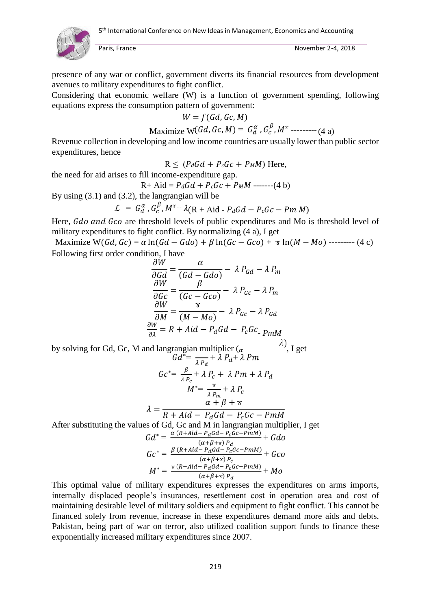

presence of any war or conflict, government diverts its financial resources from development avenues to military expenditures to fight conflict.

Considering that economic welfare (W) is a function of government spending, following equations express the consumption pattern of government:

$$
W = f(Gd, Gc, M)
$$

$$
Maximize W(Gd, Gc, M) = G_d^{\alpha}, G_c^{\beta}, M^{\gamma}
$$
----- (4 a)

Revenue collection in developing and low income countries are usually lower than public sector expenditures, hence

$$
R \leq (P_d Gd + P_c Gc + P_M M)
$$
 Here,

the need for aid arises to fill income-expenditure gap.

$$
R + A id = P_d Gd + P_c Gc + P_M M \text{ ---} (4 b)
$$

By using (3.1) and (3.2), the langrangian will be

$$
\mathcal{L} = G_d^{\alpha}, G_c^{\beta}, M^{\gamma} + \lambda (\mathbf{R} + \mathbf{A} \mathrm{id} - P_d G d - P_c G c - P m M)
$$

Here, Gdo and Gco are threshold levels of public expenditures and Mo is threshold level of military expenditures to fight conflict. By normalizing (4 a), I get

Maximize W(Gd, Gc) =  $\alpha \ln(Gd - Gdo) + \beta \ln(Gc - Gco) + \gamma \ln(M - Mo)$  --------- (4 c) Following first order condition, I have

$$
\frac{\partial W}{\partial Gd} = \frac{\alpha}{(Gd - Gdo)} - \lambda P_{Gd} - \lambda P_m
$$

$$
\frac{\partial W}{\partial Gc} = \frac{\beta}{(Gc - Gco)} - \lambda P_{Gc} - \lambda P_m
$$

$$
\frac{\partial W}{\partial M} = \frac{\gamma}{(M - Mo)} - \lambda P_{Gc} - \lambda P_{Gd}
$$

$$
\frac{\partial W}{\partial \lambda} = R + Aid - P_dGd - P_cGc \cdot P_{mM}
$$

by solving for Gd, Gc, M and langrangian multiplier  $\begin{pmatrix} a & b \end{pmatrix}$ , I get

$$
Gc^* = \frac{\beta}{\lambda P_c} + \lambda P_c + \lambda Pm + \lambda P_d
$$
  

$$
M^* = \frac{\gamma}{\lambda P_m} + \lambda P_c
$$
  

$$
\lambda = \frac{\alpha + \beta + \gamma}{R + Aid - P_d Gd - P_c Gc - PmM}
$$

After substituting the values of Gd, Gc and M in langrangian multiplier, I get

$$
Gd^* = \frac{\alpha (R + Aid - P_dGd - P_cGc - PmM)}{(\alpha + \beta + \gamma) P_d} + Gd\sigma
$$
  
\n
$$
Gc^* = \frac{\beta (R + Aid - P_dGd - P_cGc - PmM)}{(\alpha + \beta + \gamma) P_c} + Gc\sigma
$$
  
\n
$$
M^* = \frac{\gamma (R + Aid - P_dGd - P_cGc - PmM)}{(\alpha + \beta + \gamma) P_d} + M\sigma
$$

This optimal value of military expenditures expresses the expenditures on arms imports, internally displaced people's insurances, resettlement cost in operation area and cost of maintaining desirable level of military soldiers and equipment to fight conflict. This cannot be financed solely from revenue, increase in these expenditures demand more aids and debts. Pakistan, being part of war on terror, also utilized coalition support funds to finance these exponentially increased military expenditures since 2007.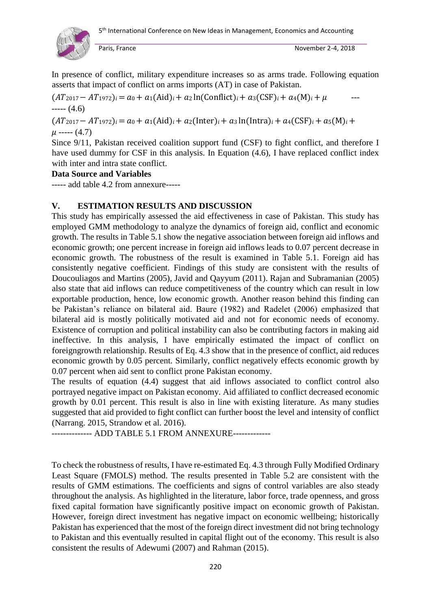

In presence of conflict, military expenditure increases so as arms trade. Following equation asserts that impact of conflict on arms imports (AT) in case of Pakistan.

 $(AT_{2017} - AT_{1972})_i = a_0 + a_1(Ad)i + a_2 \ln(Conflict)_i + a_3(CSF)_i + a_4(M)_i + \mu$  $---(4.6)$ 

 $(AT_{2017} - AT_{1972})_i = a_0 + a_1(Add)_i + a_2(Inter)_i + a_3\ln(Intra)_i + a_4(CSF)_i + a_5(M)_i +$  $\mu$  ----- (4.7)

Since 9/11, Pakistan received coalition support fund (CSF) to fight conflict, and therefore I have used dummy for CSF in this analysis. In Equation (4.6), I have replaced conflict index with inter and intra state conflict.

## **Data Source and Variables**

----- add table 4.2 from annexure-----

## **V. ESTIMATION RESULTS AND DISCUSSION**

This study has empirically assessed the aid effectiveness in case of Pakistan. This study has employed GMM methodology to analyze the dynamics of foreign aid, conflict and economic growth. The results in Table 5.1 show the negative association between foreign aid inflows and economic growth; one percent increase in foreign aid inflows leads to 0.07 percent decrease in economic growth. The robustness of the result is examined in Table 5.1. Foreign aid has consistently negative coefficient. Findings of this study are consistent with the results of Doucouliagos and Martins (2005), Javid and Qayyum (2011). Rajan and Subramanian (2005) also state that aid inflows can reduce competitiveness of the country which can result in low exportable production, hence, low economic growth. Another reason behind this finding can be Pakistan's reliance on bilateral aid. Baure (1982) and Radelet (2006) emphasized that bilateral aid is mostly politically motivated aid and not for economic needs of economy. Existence of corruption and political instability can also be contributing factors in making aid ineffective. In this analysis, I have empirically estimated the impact of conflict on foreigngrowth relationship. Results of Eq. 4.3 show that in the presence of conflict, aid reduces economic growth by 0.05 percent. Similarly, conflict negatively effects economic growth by 0.07 percent when aid sent to conflict prone Pakistan economy.

The results of equation (4.4) suggest that aid inflows associated to conflict control also portrayed negative impact on Pakistan economy. Aid affiliated to conflict decreased economic growth by 0.01 percent. This result is also in line with existing literature. As many studies suggested that aid provided to fight conflict can further boost the level and intensity of conflict (Narrang. 2015, Strandow et al. 2016).

-------------- ADD TABLE 5.1 FROM ANNEXURE-------------

To check the robustness of results, I have re-estimated Eq. 4.3 through Fully Modified Ordinary Least Square (FMOLS) method. The results presented in Table 5.2 are consistent with the results of GMM estimations. The coefficients and signs of control variables are also steady throughout the analysis. As highlighted in the literature, labor force, trade openness, and gross fixed capital formation have significantly positive impact on economic growth of Pakistan. However, foreign direct investment has negative impact on economic wellbeing; historically Pakistan has experienced that the most of the foreign direct investment did not bring technology to Pakistan and this eventually resulted in capital flight out of the economy. This result is also consistent the results of Adewumi (2007) and Rahman (2015).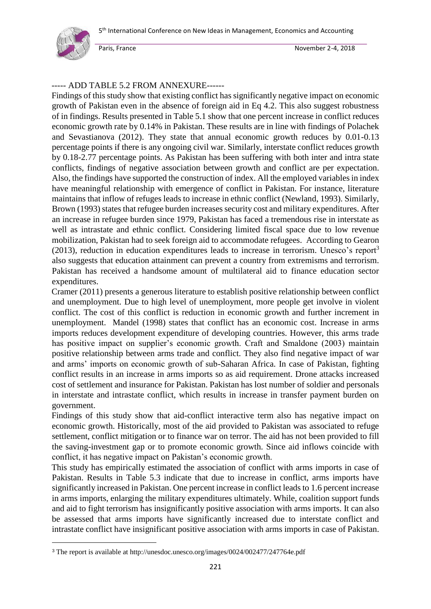

1

Paris, France **November 2-4, 2018** 

## ----- ADD TABLE 5.2 FROM ANNEXURE------

Findings of this study show that existing conflict has significantly negative impact on economic growth of Pakistan even in the absence of foreign aid in Eq 4.2. This also suggest robustness of in findings. Results presented in Table 5.1 show that one percent increase in conflict reduces economic growth rate by 0.14% in Pakistan. These results are in line with findings of Polachek and Sevastianova (2012). They state that annual economic growth reduces by 0.01-0.13 percentage points if there is any ongoing civil war. Similarly, interstate conflict reduces growth by 0.18-2.77 percentage points. As Pakistan has been suffering with both inter and intra state conflicts, findings of negative association between growth and conflict are per expectation. Also, the findings have supported the construction of index. All the employed variables in index have meaningful relationship with emergence of conflict in Pakistan. For instance, literature maintains that inflow of refuges leads to increase in ethnic conflict (Newland, 1993). Similarly, Brown (1993) states that refugee burden increases security cost and military expenditures. After an increase in refugee burden since 1979, Pakistan has faced a tremendous rise in interstate as well as intrastate and ethnic conflict. Considering limited fiscal space due to low revenue mobilization, Pakistan had to seek foreign aid to accommodate refugees. According to Gearon  $(2013)$ , reduction in education expenditures leads to increase in terrorism. Unesco's report<sup>3</sup> also suggests that education attainment can prevent a country from extremisms and terrorism. Pakistan has received a handsome amount of multilateral aid to finance education sector expenditures.

Cramer (2011) presents a generous literature to establish positive relationship between conflict and unemployment. Due to high level of unemployment, more people get involve in violent conflict. The cost of this conflict is reduction in economic growth and further increment in unemployment. Mandel (1998) states that conflict has an economic cost. Increase in arms imports reduces development expenditure of developing countries. However, this arms trade has positive impact on supplier's economic growth. Craft and Smaldone (2003) maintain positive relationship between arms trade and conflict. They also find negative impact of war and arms' imports on economic growth of sub-Saharan Africa. In case of Pakistan, fighting conflict results in an increase in arms imports so as aid requirement. Drone attacks increased cost of settlement and insurance for Pakistan. Pakistan has lost number of soldier and personals in interstate and intrastate conflict, which results in increase in transfer payment burden on government.

Findings of this study show that aid-conflict interactive term also has negative impact on economic growth. Historically, most of the aid provided to Pakistan was associated to refuge settlement, conflict mitigation or to finance war on terror. The aid has not been provided to fill the saving-investment gap or to promote economic growth. Since aid inflows coincide with conflict, it has negative impact on Pakistan's economic growth.

This study has empirically estimated the association of conflict with arms imports in case of Pakistan. Results in Table 5.3 indicate that due to increase in conflict, arms imports have significantly increased in Pakistan. One percent increase in conflict leads to 1.6 percent increase in arms imports, enlarging the military expenditures ultimately. While, coalition support funds and aid to fight terrorism has insignificantly positive association with arms imports. It can also be assessed that arms imports have significantly increased due to interstate conflict and intrastate conflict have insignificant positive association with arms imports in case of Pakistan.

<sup>3</sup> The report is available at http://unesdoc.unesco.org/images/0024/002477/247764e.pdf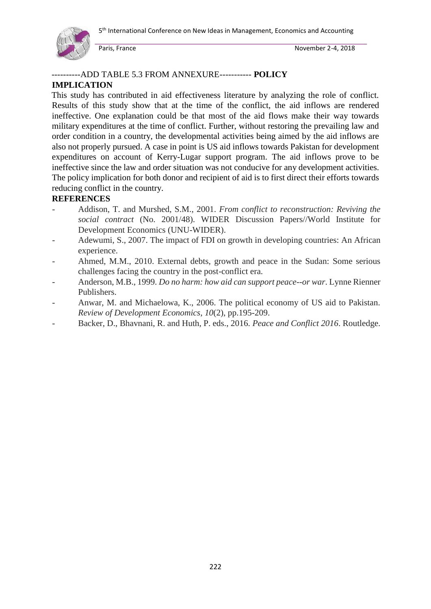

## ----------ADD TABLE 5.3 FROM ANNEXURE----------- **POLICY**

## **IMPLICATION**

This study has contributed in aid effectiveness literature by analyzing the role of conflict. Results of this study show that at the time of the conflict, the aid inflows are rendered ineffective. One explanation could be that most of the aid flows make their way towards military expenditures at the time of conflict. Further, without restoring the prevailing law and order condition in a country, the developmental activities being aimed by the aid inflows are also not properly pursued. A case in point is US aid inflows towards Pakistan for development expenditures on account of Kerry-Lugar support program. The aid inflows prove to be ineffective since the law and order situation was not conducive for any development activities. The policy implication for both donor and recipient of aid is to first direct their efforts towards reducing conflict in the country.

## **REFERENCES**

- Addison, T. and Murshed, S.M., 2001. *From conflict to reconstruction: Reviving the social contract* (No. 2001/48). WIDER Discussion Papers//World Institute for Development Economics (UNU-WIDER).
- Adewumi, S., 2007. The impact of FDI on growth in developing countries: An African experience.
- Ahmed, M.M., 2010. External debts, growth and peace in the Sudan: Some serious challenges facing the country in the post-conflict era.
- Anderson, M.B., 1999. *Do no harm: how aid can support peace--or war*. Lynne Rienner Publishers.
- Anwar, M. and Michaelowa, K., 2006. The political economy of US aid to Pakistan. *Review of Development Economics*, *10*(2), pp.195-209.
- Backer, D., Bhavnani, R. and Huth, P. eds., 2016. *Peace and Conflict 2016*. Routledge.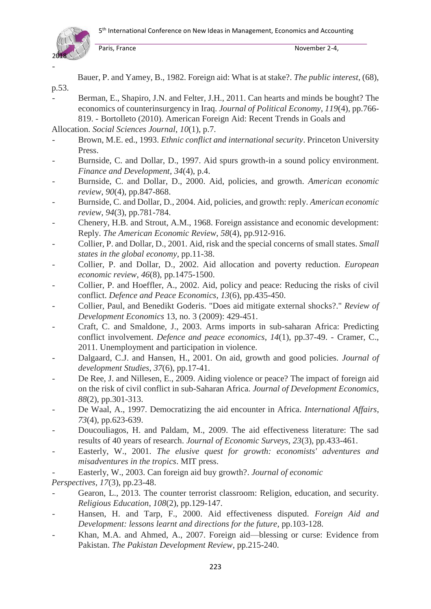

p.53.

Paris, France November 2-4,

Bauer, P. and Yamey, B., 1982. Foreign aid: What is at stake?. *The public interest*, (68),

Berman, E., Shapiro, J.N. and Felter, J.H., 2011. Can hearts and minds be bought? The economics of counterinsurgency in Iraq. *Journal of Political Economy*, *119*(4), pp.766- 819. - Bortolleto (2010). American Foreign Aid: Recent Trends in Goals and

Allocation. *Social Sciences Journal*, *10*(1), p.7.

- Brown, M.E. ed., 1993. *Ethnic conflict and international security*. Princeton University Press.
- Burnside, C. and Dollar, D., 1997. Aid spurs growth-in a sound policy environment. *Finance and Development*, *34*(4), p.4.
- Burnside, C. and Dollar, D., 2000. Aid, policies, and growth. *American economic review*, *90*(4), pp.847-868.
- Burnside, C. and Dollar, D., 2004. Aid, policies, and growth: reply. *American economic review*, *94*(3), pp.781-784.
- Chenery, H.B. and Strout, A.M., 1968. Foreign assistance and economic development: Reply. *The American Economic Review*, *58*(4), pp.912-916.
- Collier, P. and Dollar, D., 2001. Aid, risk and the special concerns of small states. *Small states in the global economy*, pp.11-38.
- Collier, P. and Dollar, D., 2002. Aid allocation and poverty reduction. *European economic review*, *46*(8), pp.1475-1500.
- Collier, P. and Hoeffler, A., 2002. Aid, policy and peace: Reducing the risks of civil conflict. *Defence and Peace Economics*, *13*(6), pp.435-450.
- Collier, Paul, and Benedikt Goderis. "Does aid mitigate external shocks?." *Review of Development Economics* 13, no. 3 (2009): 429-451.
- Craft, C. and Smaldone, J., 2003. Arms imports in sub-saharan Africa: Predicting conflict involvement. *Defence and peace economics*, *14*(1), pp.37-49. - Cramer, C., 2011. Unemployment and participation in violence.
- Dalgaard, C.J. and Hansen, H., 2001. On aid, growth and good policies. *Journal of development Studies*, *37*(6), pp.17-41.
- De Ree, J. and Nillesen, E., 2009. Aiding violence or peace? The impact of foreign aid on the risk of civil conflict in sub-Saharan Africa. *Journal of Development Economics*, *88*(2), pp.301-313.
- De Waal, A., 1997. Democratizing the aid encounter in Africa. *International Affairs*, *73*(4), pp.623-639.
- Doucouliagos, H. and Paldam, M., 2009. The aid effectiveness literature: The sad results of 40 years of research. *Journal of Economic Surveys*, *23*(3), pp.433-461.
- Easterly, W., 2001. *The elusive quest for growth: economists' adventures and misadventures in the tropics*. MIT press.

- Easterly, W., 2003. Can foreign aid buy growth?. *Journal of economic Perspectives*, *17*(3), pp.23-48.

- Gearon, L., 2013. The counter terrorist classroom: Religion, education, and security. *Religious Education*, *108*(2), pp.129-147.
- Hansen, H. and Tarp, F., 2000. Aid effectiveness disputed. *Foreign Aid and Development: lessons learnt and directions for the future*, pp.103-128.
- Khan, M.A. and Ahmed, A., 2007. Foreign aid—blessing or curse: Evidence from Pakistan. *The Pakistan Development Review*, pp.215-240.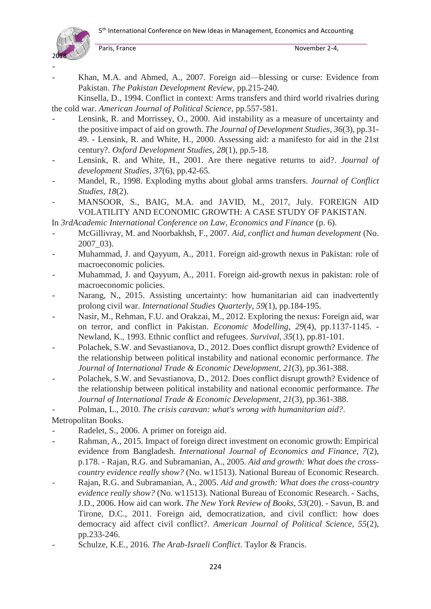

-

Paris, France November 2-4,

Khan, M.A. and Ahmed, A., 2007. Foreign aid—blessing or curse: Evidence from Pakistan. *The Pakistan Development Review*, pp.215-240.

Kinsella, D., 1994. Conflict in context: Arms transfers and third world rivalries during the cold war. *American Journal of Political Science*, pp.557-581.

- Lensink, R. and Morrissey, O., 2000. Aid instability as a measure of uncertainty and the positive impact of aid on growth. *The Journal of Development Studies*, *36*(3), pp.31- 49. - Lensink, R. and White, H., 2000. Assessing aid: a manifesto for aid in the 21st century?. *Oxford Development Studies*, *28*(1), pp.5-18.
- Lensink, R. and White, H., 2001. Are there negative returns to aid?. *Journal of development Studies*, *37*(6), pp.42-65.
- Mandel, R., 1998. Exploding myths about global arms transfers. *Journal of Conflict Studies*, *18*(2).
- MANSOOR, S., BAIG, M.A. and JAVID, M., 2017, July. FOREIGN AID VOLATILITY AND ECONOMIC GROWTH: A CASE STUDY OF PAKISTAN.

In *3rdAcademic International Conference on Law, Economics and Finance* (p. 6).

- McGillivray, M. and Noorbakhsh, F., 2007. *Aid, conflict and human development* (No. 2007\_03).
- Muhammad, J. and Qayyum, A., 2011. Foreign aid-growth nexus in Pakistan: role of macroeconomic policies.
- Muhammad, J. and Qayyum, A., 2011. Foreign aid-growth nexus in pakistan: role of macroeconomic policies.
- Narang, N., 2015. Assisting uncertainty: how humanitarian aid can inadvertently prolong civil war. *International Studies Quarterly*, *59*(1), pp.184-195.
- Nasir, M., Rehman, F.U. and Orakzai, M., 2012. Exploring the nexus: Foreign aid, war on terror, and conflict in Pakistan. *Economic Modelling*, *29*(4), pp.1137-1145. - Newland, K., 1993. Ethnic conflict and refugees. *Survival*, *35*(1), pp.81-101.
- Polachek, S.W. and Sevastianova, D., 2012. Does conflict disrupt growth? Evidence of the relationship between political instability and national economic performance. *The Journal of International Trade & Economic Development*, *21*(3), pp.361-388.
- Polachek, S.W. and Sevastianova, D., 2012. Does conflict disrupt growth? Evidence of the relationship between political instability and national economic performance. *The Journal of International Trade & Economic Development*, *21*(3), pp.361-388.

- Polman, L., 2010. *The crisis caravan: what's wrong with humanitarian aid?*.

Metropolitan Books.

- Radelet, S., 2006. A primer on foreign aid.
- Rahman, A., 2015. Impact of foreign direct investment on economic growth: Empirical evidence from Bangladesh. *International Journal of Economics and Finance*, *7*(2), p.178. - Rajan, R.G. and Subramanian, A., 2005. *Aid and growth: What does the crosscountry evidence really show?* (No. w11513). National Bureau of Economic Research.
- Rajan, R.G. and Subramanian, A., 2005. *Aid and growth: What does the cross-country evidence really show?* (No. w11513). National Bureau of Economic Research. - Sachs, J.D., 2006. How aid can work. *The New York Review of Books*, *53*(20). - Savun, B. and Tirone, D.C., 2011. Foreign aid, democratization, and civil conflict: how does democracy aid affect civil conflict?. *American Journal of Political Science*, *55*(2), pp.233-246.
- Schulze, K.E., 2016. *The Arab-Israeli Conflict*. Taylor & Francis.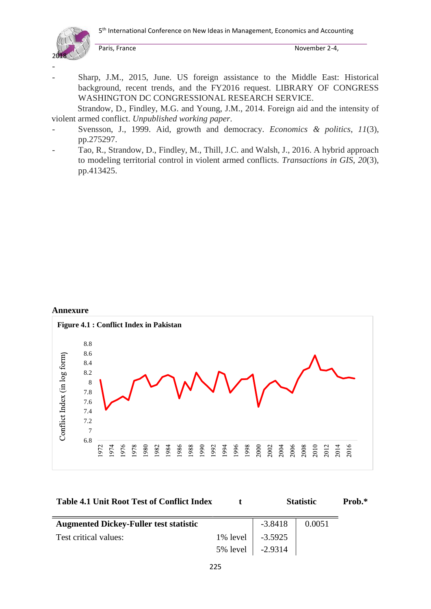5<sup>th</sup> International Conference on New Ideas in Management, Economics and Accounting



Paris, France November 2-4,

Sharp, J.M., 2015, June. US foreign assistance to the Middle East: Historical background, recent trends, and the FY2016 request. LIBRARY OF CONGRESS WASHINGTON DC CONGRESSIONAL RESEARCH SERVICE.

Strandow, D., Findley, M.G. and Young, J.M., 2014. Foreign aid and the intensity of violent armed conflict. *Unpublished working paper*.

- Svensson, J., 1999. Aid, growth and democracy. *Economics & politics*, *11*(3), pp.275297.
- Tao, R., Strandow, D., Findley, M., Thill, J.C. and Walsh, J., 2016. A hybrid approach to modeling territorial control in violent armed conflicts. *Transactions in GIS*, *20*(3), pp.413425.

#### **Annexure**



| <b>Table 4.1 Unit Root Test of Conflict Index</b> |  | <b>Statistic</b> | Prob.* |
|---------------------------------------------------|--|------------------|--------|
|---------------------------------------------------|--|------------------|--------|

| <b>Augmented Dickey-Fuller test statistic</b> |                    | $-3.8418$ | 0.0051 |
|-----------------------------------------------|--------------------|-----------|--------|
| Test critical values:                         | 1% level 3.5925    |           |        |
|                                               | 5% level   -2.9314 |           |        |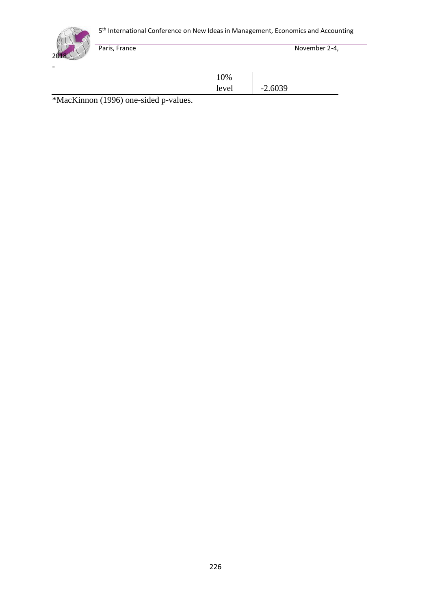5<sup>th</sup> International Conference on New Ideas in Management, Economics and Accounting



Paris, France November 2-4,

10% level | -2.6039

\*MacKinnon (1996) one-sided p-values.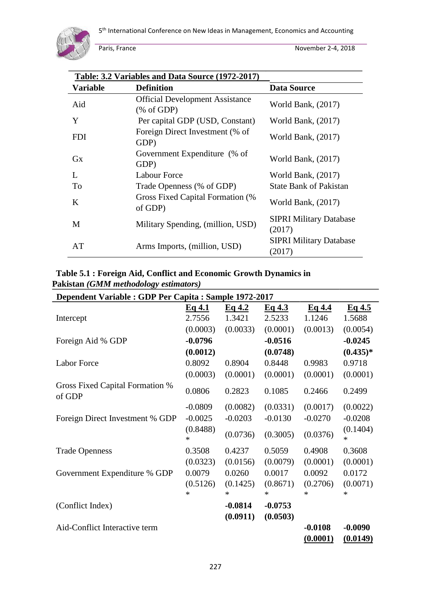

|                 | Table: 3.2 Variables and Data Source (1972-2017)                |                                          |
|-----------------|-----------------------------------------------------------------|------------------------------------------|
| <b>Variable</b> | <b>Definition</b>                                               | <b>Data Source</b>                       |
| Aid             | <b>Official Development Assistance</b><br>$(\% \text{ of GDP})$ | World Bank, $(2017)$                     |
| Y               | Per capital GDP (USD, Constant)                                 | World Bank, $(2017)$                     |
| <b>FDI</b>      | Foreign Direct Investment (% of<br>GDP)                         | World Bank, $(2017)$                     |
| $G_{X}$         | Government Expenditure (% of<br>GDP)                            | World Bank, $(2017)$                     |
| $\mathbf{L}$    | Labour Force                                                    | World Bank, (2017)                       |
| To              | Trade Openness (% of GDP)                                       | <b>State Bank of Pakistan</b>            |
| K               | Gross Fixed Capital Formation (%<br>of GDP)                     | World Bank, $(2017)$                     |
| M               | Military Spending, (million, USD)                               | <b>SIPRI Military Database</b><br>(2017) |
| AT              | Arms Imports, (million, USD)                                    | <b>SIPRI Military Database</b><br>(2017) |

**Table 5.1 : Foreign Aid, Conflict and Economic Growth Dynamics in Pakistan** *(GMM methodology estimators)*

| Dependent Variable : GDP Per Capita : Sample 1972-2017 |               |           |           |           |                    |
|--------------------------------------------------------|---------------|-----------|-----------|-----------|--------------------|
|                                                        | Eq.4.1        | Eq.4.2    | Eq.4.3    | Eq.4.4    | Eq.4.5             |
| Intercept                                              | 2.7556        | 1.3421    | 2.5233    | 1.1246    | 1.5688             |
|                                                        | (0.0003)      | (0.0033)  | (0.0001)  | (0.0013)  | (0.0054)           |
| Foreign Aid % GDP                                      | $-0.0796$     |           | $-0.0516$ |           | $-0.0245$          |
|                                                        | (0.0012)      |           | (0.0748)  |           | $(0.435)*$         |
| <b>Labor Force</b>                                     | 0.8092        | 0.8904    | 0.8448    | 0.9983    | 0.9718             |
|                                                        | (0.0003)      | (0.0001)  | (0.0001)  | (0.0001)  | (0.0001)           |
| <b>Gross Fixed Capital Formation %</b><br>of GDP       | 0.0806        | 0.2823    | 0.1085    | 0.2466    | 0.2499             |
|                                                        | $-0.0809$     | (0.0082)  | (0.0331)  | (0.0017)  | (0.0022)           |
| Foreign Direct Investment % GDP                        | $-0.0025$     | $-0.0203$ | $-0.0130$ | $-0.0270$ | $-0.0208$          |
|                                                        | (0.8488)<br>* | (0.0736)  | (0.3005)  | (0.0376)  | (0.1404)<br>$\ast$ |
| <b>Trade Openness</b>                                  | 0.3508        | 0.4237    | 0.5059    | 0.4908    | 0.3608             |
|                                                        | (0.0323)      | (0.0156)  | (0.0079)  | (0.0001)  | (0.0001)           |
| Government Expenditure % GDP                           | 0.0079        | 0.0260    | 0.0017    | 0.0092    | 0.0172             |
|                                                        | (0.5126)      | (0.1425)  | (0.8671)  | (0.2706)  | (0.0071)           |
|                                                        | *             | *         | $\ast$    | *         | $\ast$             |
| (Conflict Index)                                       |               | $-0.0814$ | $-0.0753$ |           |                    |
|                                                        |               | (0.0911)  | (0.0503)  |           |                    |
| Aid-Conflict Interactive term                          |               |           |           | $-0.0108$ | $-0.0090$          |
|                                                        |               |           |           | (0.0001)  | (0.0149)           |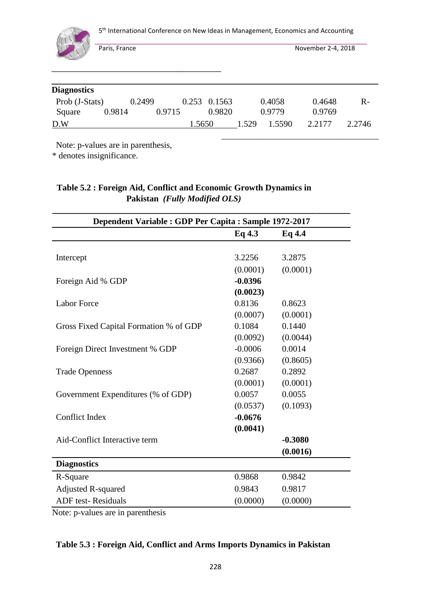

5<sup>th</sup> International Conference on New Ideas in Management, Economics and Accounting

Paris, France November 2-4, 2018

| <b>Diagnostics</b> |        |        |        |        |                |       |        |        |        |
|--------------------|--------|--------|--------|--------|----------------|-------|--------|--------|--------|
| Prob (J-Stats)     |        | 0.2499 |        |        | $0.253$ 0.1563 |       | 0.4058 | 0.4648 | $R-$   |
| Square             | 0.9814 |        | 0.9715 |        | 0.9820         |       | 0.9779 | 0.9769 |        |
| D.W                |        |        |        | 1.5650 |                | 1.529 | 1.5590 | 2.2177 | 2.2746 |

Note: p-values are in parenthesis,

\* denotes insignificance.

## **Table 5.2 : Foreign Aid, Conflict and Economic Growth Dynamics in Pakistan** *(Fully Modified OLS)*

| Dependent Variable : GDP Per Capita : Sample 1972-2017 |           |           |  |  |  |
|--------------------------------------------------------|-----------|-----------|--|--|--|
|                                                        | Eq4.3     | Eq4.4     |  |  |  |
|                                                        |           |           |  |  |  |
| Intercept                                              | 3.2256    | 3.2875    |  |  |  |
|                                                        | (0.0001)  | (0.0001)  |  |  |  |
| Foreign Aid % GDP                                      | $-0.0396$ |           |  |  |  |
|                                                        | (0.0023)  |           |  |  |  |
| <b>Labor Force</b>                                     | 0.8136    | 0.8623    |  |  |  |
|                                                        | (0.0007)  | (0.0001)  |  |  |  |
| Gross Fixed Capital Formation % of GDP                 | 0.1084    | 0.1440    |  |  |  |
|                                                        | (0.0092)  | (0.0044)  |  |  |  |
| Foreign Direct Investment % GDP                        | $-0.0006$ | 0.0014    |  |  |  |
|                                                        | (0.9366)  | (0.8605)  |  |  |  |
| <b>Trade Openness</b>                                  | 0.2687    | 0.2892    |  |  |  |
|                                                        | (0.0001)  | (0.0001)  |  |  |  |
| Government Expenditures (% of GDP)                     | 0.0057    | 0.0055    |  |  |  |
|                                                        | (0.0537)  | (0.1093)  |  |  |  |
| <b>Conflict Index</b>                                  | $-0.0676$ |           |  |  |  |
|                                                        | (0.0041)  |           |  |  |  |
| Aid-Conflict Interactive term                          |           | $-0.3080$ |  |  |  |
|                                                        |           | (0.0016)  |  |  |  |
| <b>Diagnostics</b>                                     |           |           |  |  |  |
| R-Square                                               | 0.9868    | 0.9842    |  |  |  |
| <b>Adjusted R-squared</b>                              | 0.9843    | 0.9817    |  |  |  |
| <b>ADF</b> test-Residuals                              | (0.0000)  | (0.0000)  |  |  |  |

Note: p-values are in parenthesis

## **Table 5.3 : Foreign Aid, Conflict and Arms Imports Dynamics in Pakistan**